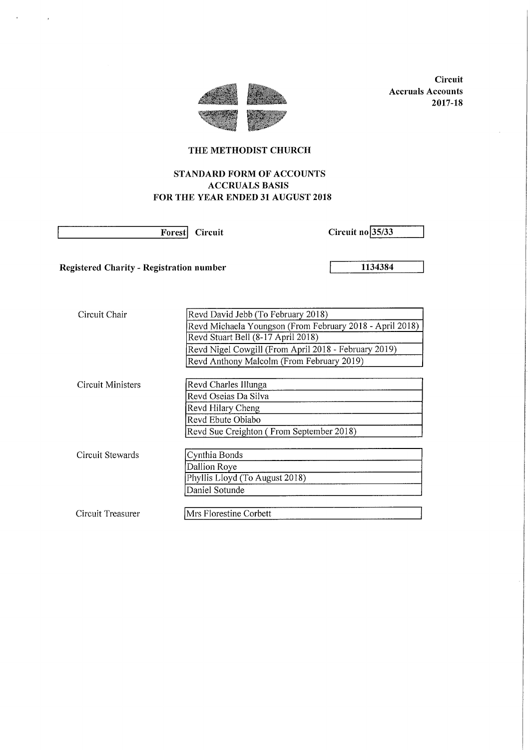

**Circuit** Accruals Accounts 2017-18

# THE METHODIST CHURCH

# STANDARD FORM OF ACCOUNTS ACCRUALS BASIS FOR THE YEAR ENDED 31 AUGUST 2018

 $\alpha$ 

 $\sim$   $\sim$ 

Forest Circuit Circuit Circuit no 25/33

Registered Charity - Registration number 1134384

| Circuit Chair     | Revd David Jebb (To February 2018)                       |
|-------------------|----------------------------------------------------------|
|                   | Revd Michaela Youngson (From February 2018 - April 2018) |
|                   | Revd Stuart Bell (8-17 April 2018)                       |
|                   | Revd Nigel Cowgill (From April 2018 - February 2019)     |
|                   | Revd Anthony Malcolm (From February 2019)                |
|                   |                                                          |
| Circuit Ministers | Revd Charles Illunga                                     |
|                   | Revd Oseias Da Silva                                     |
|                   | Revd Hilary Cheng                                        |
|                   | Revd Ebute Obiabo                                        |
|                   | Revd Sue Creighton (From September 2018)                 |
|                   |                                                          |
| Circuit Stewards  | Cynthia Bonds                                            |
|                   | Dallion Roye                                             |
|                   | Phyllis Lloyd (To August 2018)                           |
|                   | Daniel Sotunde                                           |
|                   |                                                          |
| Circuit Treasurer | Mrs Florestine Corbett                                   |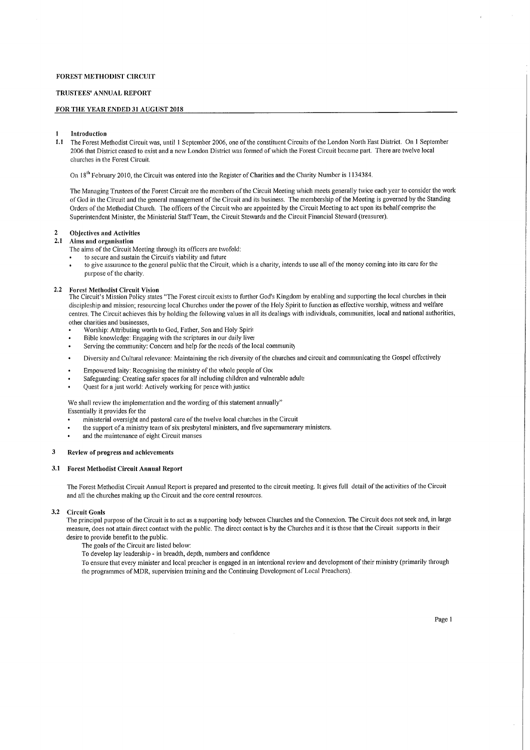### TRUSTEES' ANNUAL REPORT

#### FOR THE YEAR ENDED 31 AUGUST 2018

#### **Introduction**

1,1 The Forest Methodist Circuit was, until <sup>I</sup> September 2006, one ofthe constituent Circuits of the London North East District. On I September 2006 that District ceased to exist and a new London District was formed of which the Forest Circuit became part, There are twelve local churches in the Forest Circuit.

On 18<sup>th</sup> February 2010, the Circuit was entered into the Register of Charities and the Charity Number is 1134384.

The Managing Trustees of the Forest Circuit are the members of the Circuit Meeting which meets generally twice each year to consider the work of God in the Circuit and the general management of the Circuit and its business. The membership of the Meeting is governed by the Standing Orders of the Methodist Church. The officers of the Circuit who are appointed by the Circuit Meeting to act upon its behalf comprise the Superintendent Minister, the Ministerial Statf Team, the Circuit Stewards and the Circuit Financial Steward (treasurer).

# 2 Objectives and Activities<br>2.1 Aims and organisation

#### 2.1 Aims and organisatlon

The aims of the Circuit Meeting through its officers are twofold:

- to secure and sustain the Circuit's viability and future
- to give assurance to the general public that the Circuit, which is a charity, intends to use all of the money coming into its care for the purpose of the charity.

#### 2,2 Forest Methodist Circuit Vision

The Circuit's Mission Policy states "The Forest circuit exists to further God's Kingdom by enabling and supporting the local churches in their discipleship and mission; resourcing local Churches under the power of the Holy Spirit to function as effective worship, witness and welfare centres, The Circuit achieves this by holding the following values in all its dealings with individuals, communities, local and national authorities, other charities and businesses,

- Worship: Attributing worth to God, Father, Son and Holy Spirii
- Bible knowledge: Engaging with the scriptures in our daily live.
- Serving the community: Concern and help for the needs of the local community
- Diversity and Cultural relevance: Maintaining the rich diversity of the churches and circuit and communicating the Gospel effectively
- Empowered laity: Recognising the ministry of the whole people of Good
- Safeguarding: Creating safer spaces for all including children and vulnerable adult,
- Quest for a just world: Actively working for peace with justice

We shall review the implementation and the wording of this statement annually"

Essentially it provides for the

- ministerial oversight and pastoral care of the twelve local churches in the Circuit
- the support of a ministry team of six presbyteral ministers, and five supernumerary ministers.
- and the maintenance of eight Circuit manses

#### 3 Review of progress and achievements

#### 3.<sup>1</sup> Forest Methodist Circuit Annual Report

The Forest Methodist Circuit Annual Report is prepared and presented to the circuit meeting. It gives full detail of the activities of the Circuit and all the churches making up the Circuit and the core central resources.

#### 3.2 Circuit Goals

The principal purpose of the Circuit is to act as a supporting body between Churches and the Connexion. The Circuit does not seek and, in large measure, does not attain direct contact with the public. The direct contact is by the Churches and it is these that the Circuit supports in their desire to provide benefit to the public.

The goals of the Circuit are listed below:

To develop lay leadership - in breadth, depth, numbers and confidence

To ensure that every minister and local preacher is engaged in an intentional review and development oftheir ministry (primarily through the programmes of MDR, supervision training and the Continuing Development of Local Preachers).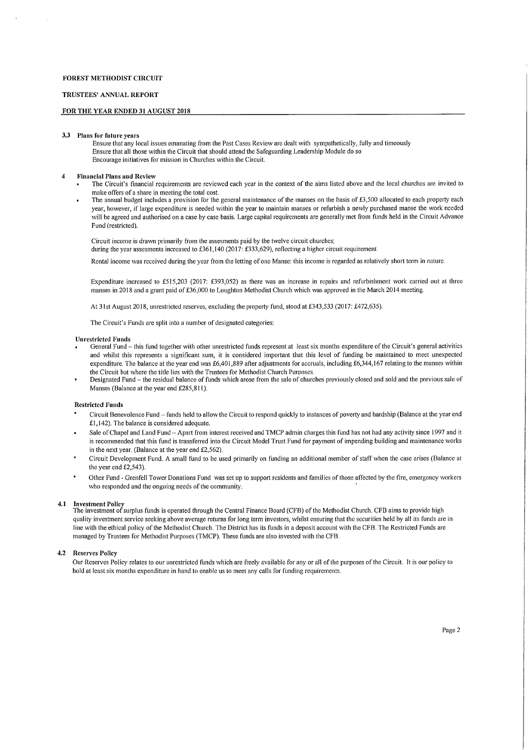#### TRUSTEES' ANNUAL REPORT

### FOR THE YEAR ENDED 31 AUGUST 2018

#### 3,3 Plans for future years

Ensure that any local issues emanating from the Past Cases Review are dealt with sympathetically, fully and timeously Ensure that all those within the Circuit that should attend the Safeguarding Leadership Module do so Encourage initiatives for mission in Churches within the Circuit.

#### 4 Financial Plans and Review

- The Circuit's financial requirements are reviewed each year in the context of the aims listed above and the local churches are invited to make offers of a share in meeting the total cost.
- The annual budget includes a provision for the general maintenance of the manses on the basis of £3,500 allocated to each property each year, however, if large expenditure is needed within the year to maintain manses or refurbish a newly purchased manse the work needed will be agreed and authorised on a case by case basis. Large capital requirements are generally met from funds held in the Circuit Advance Fund (restricted).

Circuit income is drawn primarily from the assesments paid by the twelve circuit churches: during the year assesments increased to £361,140 (2017: £333,629), reflecting a higher circuit requirement.

Rental income was received during the year from the letting of one Manse: this income is regarded as relatively short term in nature.

Expenditure increased to f515,203 (2017: f393,052) as there was an increase in repairs and refurbishment work carried out at three manses in 2018 and a grant paid of £36,000 to Loughton Methodist Church which was approved in the March 2014 meeting.

At 31st August 2018, unrestricted reserves, excluding the property fund, stood at £343,533 (2017: £472,635).

The Circuit's Funds are split into a number of designated categories:

#### Unrestricted Funds

- General Fund —this fund together with other unrestricted funds represent at least six months expenditure of the Circuit's general activities and whilst this represents a significant sum, it is considered important that this level of funding be maintained to meet unexpected expenditure. The balance at the year end was £6,401,889 after adjustments for accruals, including £6,344,167 relating to the manses within the Circuit but where the title lies with the Trustees for Methodist Church Purposes.
- Designated Fund —the residual balance of funds which arose from the sale of churches previously closed and sold and the previous sale of Manses (Balance at the year end £285,811).

#### Restricted Funds

- Circuit Benevolence Fund —funds held to allow the Circuit to respond quickly to instances of poverty and hardship (Balance at the year end  $£1,142)$ . The balance is considered adequate.
- Sale of Chapel and Land Fund -- Apart from interest received and TMCP admin charges this fund has not had any activity since 1997 and it is recommended that this fund is transferred into the Circuit Model Trust Fund for payment of impending building and maintenance works in the next year. (Balance at the year end  $£2,562$ ).
- Circuit Development Fund. A small fund to be used primarily on funding an additional member of staff when the case arises (Balance at the year end £2,543).
- Other Fund Grenfell Tower Donations Fund was set up to support residents and families ofthose affected by the fire, emergency workers who responded and the ongoing needs of the community.

#### 4.1 Investment Policy

The investment of surplus funds is operated through the Central Finance Board (CFB) of the Methodist Church. CFB aims to provide high quality investment service seeking above average returns for long term investors, whilst ensuring that the securities held by all its funds are in line with the ethical policy ofthe Methodist Church. The District has its funds in a deposit account with the CFB. The Restricted Funds are managed by Trustees for Methodist Purposes (TMCP). These funds are also invested with the CFB.

#### 4,2 Reserves Policy

Our Reserves Policy relates to our unrestricted funds which are freely available for any or all of the purposes of the Circuit. It is our policy to hold at least six months expenditure in hand to enable us to meet any calls for funding requirements.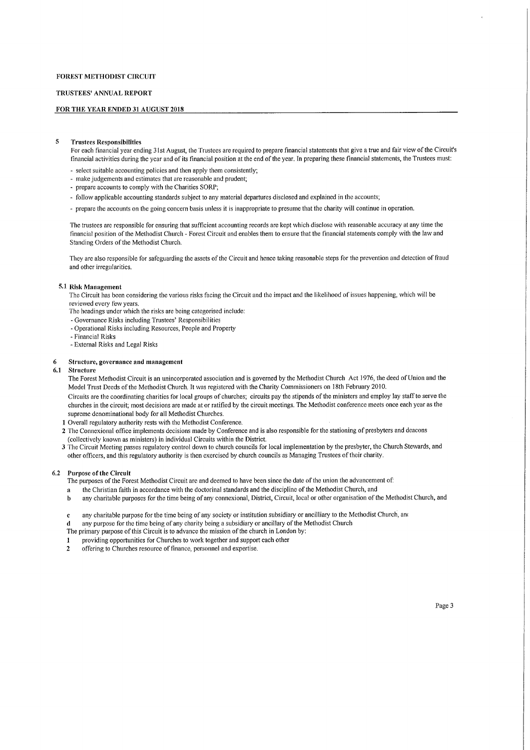#### TRUSTEES' ANNUAL REPORT

#### FOR THE YEAR ENDED 31 AUGUST 2018

### 8 Trustees Responsibilities

For each financial year ending 31st August, the Trustees are required to prepare financial statements that give a true and fair view of the Circuit's financial activities during the year and of its financial position at the end of the year. In preparing these financial statements, the Trustees must:

- select suitable accounting policies and then apply them consistently;
- make judgements and estimates that are reasonable and prudent;
- prepare accounts to comply with the Charities SORP;
- follow applicable accounting standards subject to any material departures disclosed and explained in the accounts;
- prepare the accounts on the going concern basis unless it is inappropriate to presume that the charity will continue in operation.

The trustees are responsible for ensuring that sufficient accounting records are kept tvhich disclose with reasonable accuracy at any time the financial position ofthe Methodist Church - Forest Circuit and enables them to ensure that the financial statements comply with the law and Standing Orders of the Methodist Church.

They are also responsible for safeguarding the assets of the Circuit and hence taking reasonable steps for the prevention and detection of fraud and other irregularities.

### 6 1 Risk Management

The Circuit has been considering the various risks facing the Circuit and the impact and the likelihood of issues happening, tvhich will be reviewed every few years.

- The headings under which the risks are being categorised include:
- Governance Risks including Trustees' Responsibilities
- Operational Risks including Resources, People and Property
- Financial Risks
- External Risks and Legal Risks

# 6 Structure, governance and management

#### **Structure**

The Forest Methodist Circuit is an unincorporated association and is governed by the Methodist Church Act 1976, the deed of Union and the Model Trust Deeds of the Methodist Church. It was registered with the Charity Commissioners on 18th February 2010.

Circuits are the coordinating charities for local groups of churches; circuits pay the stipends of the ministers and employ lay staff to serve the churches in the circuit; most decisions are made at or ratified by the circuit meetings. The Methodist conference meets once each year as the supreme denominational body for all Methodist Churches.

- I Overall regulatory authority rests with the Methodist Conference.
- 2 The Connexional office implements decisions made by Conference and is also responsible for the stationing of presbyters and deacons (collectively known as ministers) in individual Circuits within the District.

3 The Circuit Meeting passes regulatory control down to church councils for local implementation by the presbyter, the Church Stewards, and other officers, and this regulatory authority is then exercised by church councils as Managing Trustees oftheir charity.

#### 6.2 Purpose of the Circuit

The purposes of the Forest Methodist Circuit are and deemed to have been since the date of the union the advancement of:

- a the Christian faith in accordance with the doctorinal standards and the discipline of the Methodist Church, and
- b any charitable purposes for the time being of any connexional, District, Circuit, local or other organisation of the Methodist Church, and
- c any charitable purpose for the time being of any society or institution subsidiary or ancilliary to the Methodist Church, an&
- d any purpose for the time being of any charity being a subsidiary or ancillary ofthe Methodist Church
- The primary purpose of this Circuit is to advance the mission of the church in London by:
- I providing opportunities for Churches to work together and support each other<br>
2. offering to Churches resource of finance, personnel and expertise
- offering to Churches resource of finance, personnel and expertise.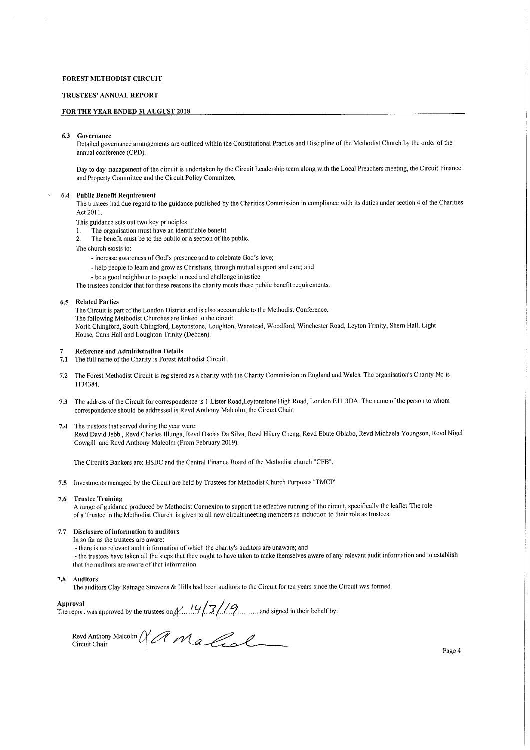#### TRUSTEES' ANNUAL REPORT

#### FOR THE YEAR ENDED 3I AUGUST 2018

#### 6.3 Governance

Detailed governance arrangements are outlined within the Constitutional Practice and Discipline ofthe Methodist Church by the order of the annual conference (CPD).

Day to day management of the circuit is undertaken by the Circuit Leadership team along with the Local Preachers meeting, the Circuit Finance and Property Committee and the Circuit Policy Committee.

#### 6.4 Public Benefit Requirement

The trustees had due regard to the guidance published by the Charities Commission in compliance with its duties under section 4 of the Charities Act 2011.

This guidance sets out two key principles:

- 1. The organisation must have an identifiable benefit.
- 2. The benefit must be to the public or a section of the public.

The church exists to;

- increase awareness of God's presence and to celebrate God's love;
- help people to learn and grow as Christians, through mutual support and care; and
- be a good neighbour to people in need and challenge injustice

The trustees consider that for these reasons the charity meets these public benefit requirements.

### 6.5 Related Parties

The Circuit is part of the London District and is also accountable to the Methodist Conference. The following Methodist Churches are linked to the circuit: North Chingford, South Chingford, Leytonstone, Loughton, Wanstead, Woodford, Winchester Road, Leyton Trinity, Shem Hall, Light House, Cann Hall and Loughton Trinity (Debden),

#### 7 Reference and Administration Details

- 7.1 The full name of the Charity is Forest Methodist Circuit.
- 7.2 The Forest Methodist Circuit is registered as a charity with the Charity Commission in England and Wales. The organisation's Charity No is 1134384.
- 7.3 The address of the Circuit for correspondence is 1 Lister Road, Leytonstone High Road, London E11 3DA. The name of the person to whom correspondence should be addressed is Revd Anthony Malcolm, the Circuit Chair.
- 7.4 The trustees that served during the year were; Revd David Jebb, Revd Charles Illunga, Revd Oseias Da Silva, Revd Hilary Cheng, Revd Ebute Obiabo, Revd Michaela Youngson, Revd Nigel Cowgill and Revd Anthony Malcolm (From February 2019),

The Circuit's Bankers are: HSBC and the Central Finance Board of the Methodist church "CFB".

7.5 Investments managed by the Circuit are held by Trustees for Methodist Church Purposes "TMCP'

#### 7.6 Trustee Training

A range of guidance produced by Methodist Connexion to support the effective running of the circuit, specifically the leaflet 'The role of a Trustee in the Methodist Church' is given to all new circuit meeting members as induction to their role as trustees.

#### 7.7 Disclosure of information to auditors

- In so far as the trustees are aware:
	- there is no relevant audit information of which the charity's auditors are unaware; and
- the trustees have taken all the steps that they ought to have taken to make themselves aware of any relevant audit information and to establish that the anditors are aware of that information

#### 7.8 Auditors

The auditors Clay Ratnage Strevens & Hills had been auditors to the Circuit for ten years since the Circuit was formed,

Approval<br>The report was approved by the trustees on  $\mathcal{N}$  ...,  $\mathcal{U}/\mathcal{Z}/\mathcal{U}$  ..., and signed in their behalf by

Revd Anthony Mal<br>Circuit Chair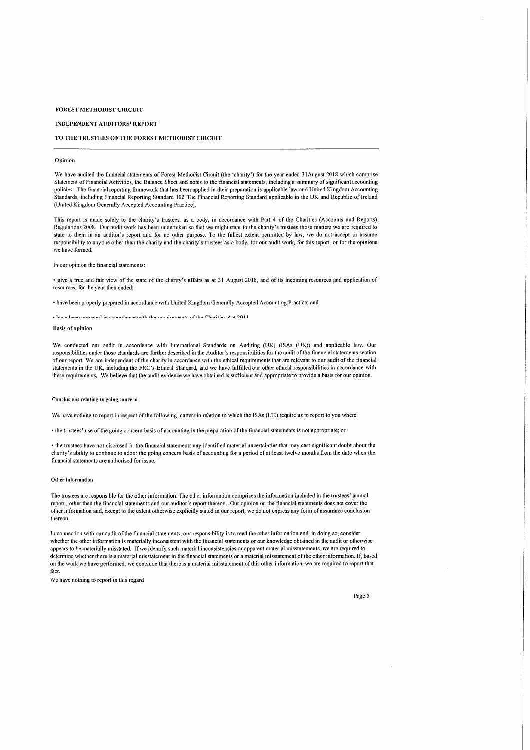#### INDEPENDENT AUDITORS' REPORT

#### TO THE TRUSTEES OF THE FOREST METHODIST CIRCUIT

#### Opinion

We have audited the financial statements of Forest Methodist Circuit (the 'charity') for the year ended 31August 2018 which comprise Statement of Finnncial Activities, the Balance Sheet and notes to the financial statements, including a summary of significant accounting policies. The financial reporting framework that has been applied in their preparation is applicable law and United Kingdom Accounting Standards, including Financial Reporting Standard 102 The Financial Reporting Standard applicable in the UK and Republic of Ireland (United Kingdom Generally Accepted Accounting Practice).

This report is made solely to the charity's trustees, as a body, in accordance with Part 4 of the Charities (Accounts and Reports) Regulations 2008. Our audit work has been undertaken so that we might state to the charity's trustees those matters we are required to state to them in an miditor's report and for no other purpose, To the fullest extent permitted by law, ive do not accept or assume responsibility to anyone other than the charity and the charity's trustees as a body, for our audit work, for this report, or for tbe opinions we have formed.

In our opinion the financial statements'.

<sup>~</sup> give a true iuid fair view of the state of the charity's affairs as at 31 August 2018, and of its incoming resources and application of resources, for the year then ended;

• have been properly prepared in accordance with United Kingdom Generally Accepted Accounting Practice; and

. have been prepared in accordance with the requirements of the Charities Act 2011

#### Basis of opinion

We conducted our audit in accordance with International Standards on Auditing (UK) (ISAs (UK)) and applicable law. Our responsibilities under those standards are further described in the Auditor's responsibilities for tbe audit ofthe financial statements section of our report, We are independent of the charity in accordance with the ethical requirements that are relevant to our audit of the financial statements in the UK, including the FRC's Ethical Standard, and we have fulfilled our other ethical responsibilities in accordance with these requirements. We believe that the audit evidence we have obtained is sufficient and appropriate to provide a basis for our opinion.

#### Conclusions relating to going concern

We have nothing to report in respect of the following matters in relation to which the ISAs (UK) require us to report to you where:

~ the trustees' use ofthe going concern basis of accounting in the preparation ofthe financial statements is not appropriate; or

~ the trustees hnve not disclosed in the financial stntements any identified material uncertainties thnt may cast significant doubt about the charity's ability to continue to adopt the going concern basis of accounting for a period of at least twelve months from the date when the financial statements are authorised for issue.

#### Other information

The trustees are responsible for the other information, The other information comprises the information included in the trustees' annual report, other than the fioancial statements and our auditor's report thereon. Our opinion on the financial statements does not cover the other information and, except to the extent otherwise explicitly stated in our report, ive do not express any Iorm of assurance conclusion thereon.

In connection with our audit of the financial statements, our responsibility is to read the other information and, in doing so, consider whether the other information is materially inconsistent with the financial statements or our knowledge obtained in the audit or otherwise appears to be materially misstated. If we identify such material inconsistencies or apparent material misstatements, we are required to determine whether there is a material misstatement in the financial statements or a material misstatement of the other information. If, based on the ivork ive have performed, we conclude that there is a material misstatement of this other information, ive are required to report that fact.

We have nothing to report in this regard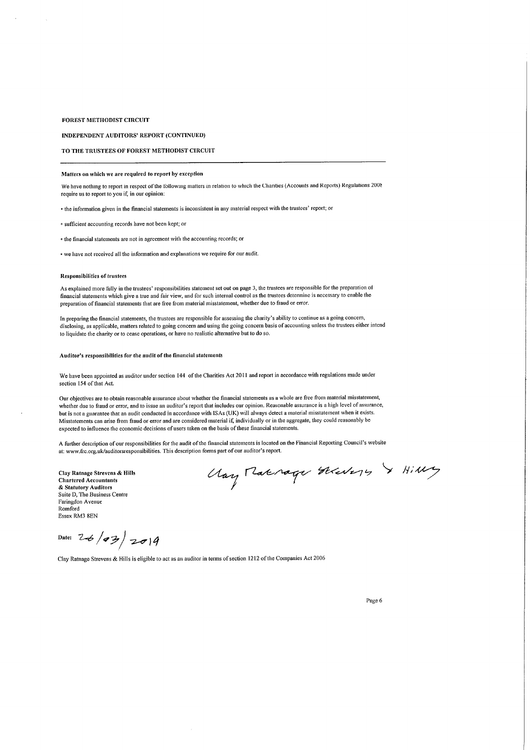INDEPENDENT AUDITORS' REPORT (CONTINUED)

# TO THE TRUSTEES OF FOREST METHODIST CIRCUIT

#### Matters on which we are required to report by exception

We have nothing to report in respect of the following matters in relation to which the Charities (Accounts and Reports) Regulations 2001 require us to report to you if, in our opinion:

' the information given in the financial statements is inconsistent in any material respect with the trustees' rcport; or

• sufficient accounting records have not been kept; or

 $\cdot$  the financial statements are not in agreement with the accounting records; or

' we have not received all the information and explanations we require for our audit.

#### Responsibilities of trustees

As explained more thlly in the trustees' responsibilities statement set out on page 3, the trustees are responsible for the preparation of financial statements which give a true mid fair view, and for such uitenial control as the trustees determine is necessary to enable the preparation of financial statements that are free fiom material misstatement, whether due to fraud or error.

In preparing the financial statements, the trustees arc responsible for assessing the charity's ability to continue as a going concern, disclosing, as applicable, niatters related to going concern and using the going concern basis of accounting unless the trustees either intend to liquidate the charity or to cense operations, or have no realistic alternative but to do so.

### Auditor's responsibilities for the audit of the finuncial statements

We have been appointed as auditor under section 144 of the Charities Act 2011 and report in accordance with regulations made under section 154 of that Act.

Our objectives are to obtain reasonable assurance about whether the financial statements as a whole are free from material misstatement, whether due to fraud or error, and to issue an auditor's report that includes our opinion. Reasonable assurance is a high level of assurance, but is not a guarantee that an audit conducted in accordance with ISAs (UK) will always detect a material misstatement when it exists. Misstatements can arise from fraud or error and are considered material if, individually or in the aggregate, they could reasonably be expected to influence the economic decisions of users taken on the basis ofthese financial statements.

A further description of our responsibilities for the audit of the financial statements is located on the Financial Reporting Council's website at: www.frc.org.uk/auditorsresponsibilities. This description forms part of our auditor's report.

Clay Ratnage Strevens & Hills Chartered Accountants & Statutory Auditors Suite D, The Business Centre Faringdon Avenue **Romford** Essex RM3 8EN

Uay Makrage Skevery & Hilly

Date:  $26/93/2014$ 

Clay Ratnage Strevens & Hills is eligible to act as an auditor in terms ofsection 1212 ofthe Companies Act 2006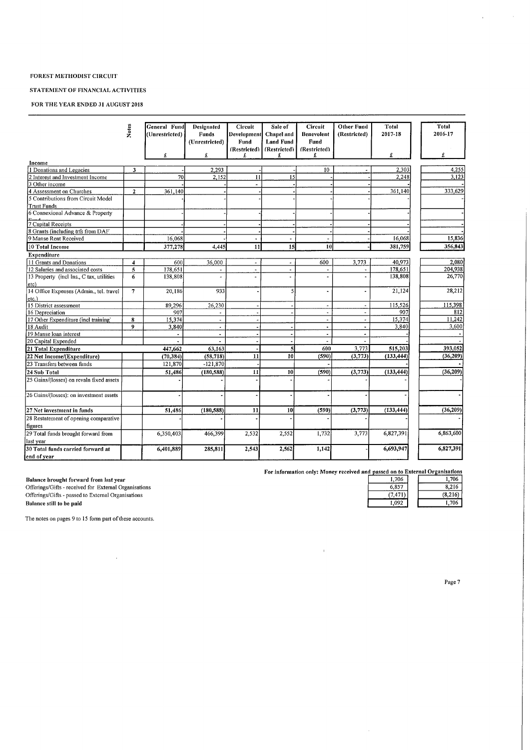# STATEMENT OF FINANCIAL ACTIVITIES

# FOR THE YEAR ENDED 31 AUGUST 2018

| Notes<br>Income<br>1 Donations and Legacies<br>2 Interest and Investment Income<br>3 Other income<br>4 Assessment on Churches<br>5 Contributions from Circuit Model<br><b>Trust Funds</b> | 3<br>$\overline{2}$ | (Unrestricted)<br>£<br>70 | Funds<br>(Unrestricted)<br>£<br>2,293 | Development<br>Fund<br>(Restricted)<br>£ | <b>Chapel and</b><br><b>Land Fund</b><br>(Restricted)<br>£ | <b>Benevolent</b><br>Fund<br>(Restricted) | (Restricted) | 2017-18        | 2016-17   |
|-------------------------------------------------------------------------------------------------------------------------------------------------------------------------------------------|---------------------|---------------------------|---------------------------------------|------------------------------------------|------------------------------------------------------------|-------------------------------------------|--------------|----------------|-----------|
|                                                                                                                                                                                           |                     |                           |                                       |                                          |                                                            |                                           |              |                |           |
|                                                                                                                                                                                           |                     |                           |                                       |                                          |                                                            |                                           |              |                |           |
|                                                                                                                                                                                           |                     |                           |                                       |                                          |                                                            |                                           |              |                |           |
|                                                                                                                                                                                           |                     |                           |                                       |                                          |                                                            | £                                         |              | £              | £         |
|                                                                                                                                                                                           |                     |                           |                                       |                                          |                                                            |                                           |              |                |           |
|                                                                                                                                                                                           |                     |                           |                                       | 11                                       | 15                                                         | 10                                        |              | 2,303<br>2,248 | 4,255     |
|                                                                                                                                                                                           |                     |                           | 2.152                                 |                                          |                                                            |                                           |              |                | 3.123     |
|                                                                                                                                                                                           |                     | 361,140                   |                                       |                                          |                                                            |                                           |              | 361.140        | 333,629   |
|                                                                                                                                                                                           |                     |                           |                                       |                                          |                                                            |                                           |              |                |           |
|                                                                                                                                                                                           |                     |                           |                                       |                                          |                                                            |                                           |              |                |           |
| 6 Connexional Advance & Property                                                                                                                                                          |                     |                           |                                       |                                          |                                                            |                                           |              |                |           |
|                                                                                                                                                                                           |                     |                           |                                       |                                          |                                                            |                                           |              |                |           |
| 7 Capital Receipts                                                                                                                                                                        |                     |                           |                                       |                                          |                                                            |                                           |              |                |           |
| 8 Grants (including trfs from DAF)                                                                                                                                                        |                     |                           |                                       |                                          |                                                            |                                           |              |                |           |
| 9 Manse Rent Received                                                                                                                                                                     |                     | 16,068                    |                                       |                                          |                                                            |                                           |              | 16,068         | 15,836    |
| 10 Total Income                                                                                                                                                                           |                     | 377,278                   | 4,445                                 | 11                                       | 15                                                         | 10                                        |              | 381,759        | 356,843   |
| <b>Expenditure</b>                                                                                                                                                                        |                     |                           |                                       |                                          |                                                            |                                           |              |                |           |
| 11 Grants and Donations                                                                                                                                                                   | 4                   | 600                       | 36,000                                | ÷,                                       |                                                            | 600                                       | 3,773        | 40,973         | 2.080     |
| 12 Salaries and associated costs                                                                                                                                                          | 5                   | 178,651                   | $\tilde{\phantom{a}}$                 | $\blacksquare$                           | $\blacksquare$                                             | $\overline{\phantom{a}}$                  |              | 178.651        | 204,938   |
| 13 Property (incl Ins., C tax, utilities                                                                                                                                                  | 6                   | 138,808                   | $\tilde{\phantom{a}}$                 | $\overline{a}$                           |                                                            |                                           |              | 138,808        | 26,770    |
| etc)                                                                                                                                                                                      |                     |                           |                                       |                                          |                                                            |                                           |              |                |           |
| 14 Office Expenses (Admin., tel. travel                                                                                                                                                   | $\overline{7}$      | 20,186                    | 933                                   |                                          |                                                            | $\blacksquare$                            |              | 21,124         | 28,212    |
| etc.)                                                                                                                                                                                     |                     |                           |                                       |                                          |                                                            |                                           |              |                |           |
| 15 District assessment                                                                                                                                                                    |                     | 89,296                    | 26,230                                |                                          |                                                            |                                           |              | 115,526        | 115,398   |
| 16 Depreciation                                                                                                                                                                           |                     | 907                       | $\overline{a}$                        |                                          |                                                            |                                           |              | 907            | 812       |
| 17 Other Expenditure (incl training)                                                                                                                                                      | 8                   | 15,374                    | $\Box$                                |                                          |                                                            | $\overline{\phantom{a}}$                  |              | 15,374         | 11,242    |
| 18 Audit                                                                                                                                                                                  | 9                   | 3.840                     | $\overline{a}$                        |                                          |                                                            | $\overline{a}$                            |              | 3,840          | 3,600     |
| 19 Manse loan interest                                                                                                                                                                    |                     |                           | $\blacksquare$                        |                                          |                                                            | $\blacksquare$                            |              |                |           |
| 20 Capital Expended                                                                                                                                                                       |                     |                           |                                       |                                          |                                                            |                                           |              |                |           |
| 21 Total Expenditure                                                                                                                                                                      |                     | 447,662                   | 63,163                                |                                          | 5                                                          | 600                                       | 3,773        | 515,203        | 393.052   |
| 22 Net Income/(Expenditure)                                                                                                                                                               |                     | (70, 384)                 | (58, 718)                             | 11                                       | 10                                                         | (590)                                     | (3,773)      | (133, 444)     | (36, 209) |
| 23 Transfers between funds                                                                                                                                                                |                     | 121,870                   | $-121,870$                            |                                          |                                                            |                                           |              |                |           |
| 24 Sub Total                                                                                                                                                                              |                     | 51,486                    | (180, 588)                            | 11                                       | 10                                                         | (590)                                     | (3,773)      | (133, 444)     | (36, 209) |
| 25 Gains/(losses) on revaln fixed assets                                                                                                                                                  |                     |                           |                                       |                                          |                                                            |                                           |              |                |           |
| 26 Gains/(losses): on investment assets                                                                                                                                                   |                     |                           |                                       |                                          |                                                            |                                           |              |                |           |
| 27 Net investment in funds                                                                                                                                                                |                     | 51,486                    | (180, 588)                            | 11                                       | 10                                                         | (590)                                     | (3,773)      | (133, 444)     | (36, 209) |
| 28 Restatement of opening comparative                                                                                                                                                     |                     |                           |                                       |                                          |                                                            |                                           |              |                |           |
| figures                                                                                                                                                                                   |                     |                           |                                       |                                          |                                                            |                                           |              |                |           |
| 29 Total funds brought forward from                                                                                                                                                       |                     | 6,350,403                 | 466,399                               | 2,532                                    | 2,552                                                      | 1,732                                     | 3,773        | 6,827,391      | 6,863,600 |
| last year                                                                                                                                                                                 |                     |                           |                                       |                                          |                                                            |                                           |              |                |           |
| 30 Total funds carried forward at                                                                                                                                                         |                     | 6,401,889                 | 285,811                               | 2,543                                    | 2,562                                                      | 1,142                                     |              | 6,693,947      | 6,827,391 |
| end of year                                                                                                                                                                               |                     |                           |                                       |                                          |                                                            |                                           |              |                |           |

 $\mathbf{u}^{\dagger}$ 

| 1.706  | 1.706   |
|--------|---------|
| 6.857  | 8,216   |
| 7.471) | (8.216) |
| ' 092  | 1.706   |

Balance brought forward from last year alance brought forward from last year<br>fferings/Gifts - received for External Organisation: Offerings/Gifts - passed to External Organisations<br>Balance still to be paid

es on pages 9 to 15 form part of

 $\sim$   $\sim$ 

Page 7

 $\mathcal{L}^{\mathcal{L}}$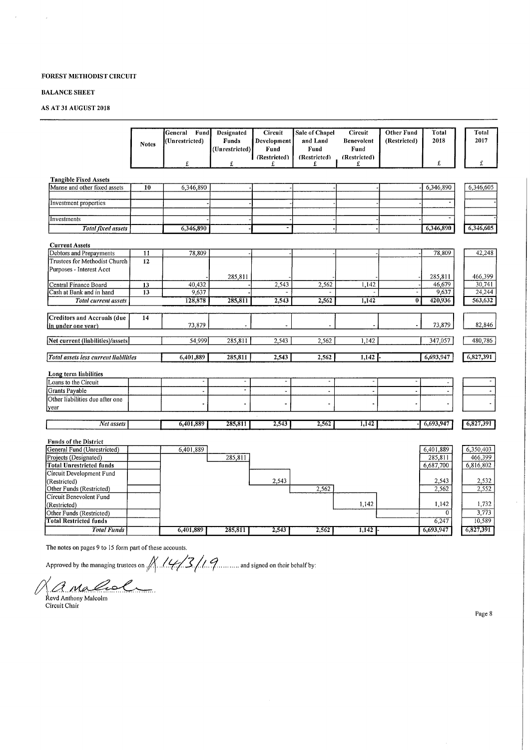# **BALANCE SHEET**

 $\alpha$ 

 $\sim$   $\lambda$ 

# AS AT 31 AUGUST 2018

|                                                             |                 | Fund<br>General<br>(Unrestricted) | Designated<br><b>Funds</b>   | Circuit<br>Development   | Sale of Chapel<br>and Land | Circuit<br><b>Benevolent</b> | <b>Other Fund</b><br>(Restricted) | Total<br>2018   | Total<br>2017    |
|-------------------------------------------------------------|-----------------|-----------------------------------|------------------------------|--------------------------|----------------------------|------------------------------|-----------------------------------|-----------------|------------------|
|                                                             | <b>Notes</b>    |                                   | (Unrestricted)               | Fund<br>(Restricted)     | Fund<br>(Restricted)       | Fund<br>(Restricted)         |                                   |                 |                  |
|                                                             |                 | £                                 | £                            | £                        | £                          | £                            |                                   | £               | £                |
| <b>Tangible Fixed Assets</b>                                |                 |                                   |                              |                          |                            |                              |                                   |                 |                  |
| Manse and other fixed assets                                | 10              | 6,346,890                         |                              |                          |                            |                              |                                   | 6,346,890       | 6,346,605        |
| Investment properties                                       |                 |                                   |                              |                          |                            |                              |                                   |                 |                  |
|                                                             |                 |                                   |                              |                          |                            |                              |                                   |                 |                  |
| Investments                                                 |                 |                                   |                              |                          |                            |                              |                                   |                 |                  |
| <b>Total fixed assets</b>                                   |                 | 6,346,890                         |                              |                          |                            |                              |                                   | 6,346,890       | 6,346,605        |
| <b>Current Assets</b>                                       |                 |                                   |                              |                          |                            |                              |                                   |                 |                  |
| Debtors and Prepayments                                     | $\overline{11}$ | 78,809                            |                              |                          |                            |                              |                                   | 78,809          | 42,248           |
| Trustees for Methodist Church                               | 12              |                                   |                              |                          |                            |                              |                                   |                 |                  |
| Purposes - Interest Acct                                    |                 |                                   |                              |                          |                            |                              |                                   |                 |                  |
|                                                             |                 |                                   | 285,811                      |                          |                            |                              |                                   | 285,811         | 466,399          |
| Central Finance Board<br>Cash at Bank and in hand           | 13<br>13        | 40,432<br>9,637                   |                              | 2,543                    | 2,562                      | 1,142                        |                                   | 46,679<br>9,637 | 30,741<br>24,244 |
| Total current assets                                        |                 | 128,878                           | 285,811                      | 2,543                    | 2,562                      | 1,142                        | $\overline{0}$                    | 420,936         | 563,632          |
|                                                             |                 |                                   |                              |                          |                            |                              |                                   |                 |                  |
| <b>Creditors and Accruals (due</b>                          | 14              |                                   |                              |                          |                            |                              |                                   |                 |                  |
| in under one vear)                                          |                 | 73,879                            |                              |                          |                            |                              |                                   | 73,879          | 82,846           |
| Net current (liabilities)/assets                            |                 | 54,999                            | 285,811                      | 2,543                    | 2,562                      | 1,142                        |                                   | 347,057         | 480,786          |
| Total assets less current liabilities                       |                 | 6,401,889                         | 285,811                      | 2,543                    | 2,562                      | 1,142                        |                                   | 6,693,947       | 6,827,391        |
|                                                             |                 |                                   |                              |                          |                            |                              |                                   |                 |                  |
| Long term liabilities                                       |                 |                                   |                              |                          |                            |                              |                                   |                 |                  |
| Loans to the Circuit                                        |                 | $\overline{\phantom{a}}$          | $\qquad \qquad \blacksquare$ | $\overline{\phantom{a}}$ | $\overline{\phantom{a}}$   | $\qquad \qquad \blacksquare$ |                                   |                 |                  |
| Grants Payable                                              |                 | $\blacksquare$                    | $\tilde{\phantom{a}}$        | $\blacksquare$           | $\tilde{\phantom{a}}$      | $\overline{\phantom{a}}$     | J.                                | $\overline{a}$  |                  |
| Other liabilities due after one                             |                 |                                   | ä,                           |                          |                            |                              |                                   |                 |                  |
| year                                                        |                 |                                   |                              |                          |                            |                              |                                   |                 |                  |
| Net assets                                                  |                 | 6,401,889                         | 285,811                      | 2,543                    | 2,562                      | 1,142                        |                                   | 6,693,947       | 6,827,391        |
|                                                             |                 |                                   |                              |                          |                            |                              |                                   |                 |                  |
| <b>Funds of the District</b><br>General Fund (Unrestricted) |                 | 6,401,889                         |                              |                          |                            |                              |                                   | 6,401,889       | 6,350,403        |
| Projects (Designated)                                       |                 |                                   | 285,811                      |                          |                            |                              |                                   | 285,811         | 466,399          |
| <b>Total Unrestricted funds</b>                             |                 |                                   |                              |                          |                            |                              |                                   | 6,687,700       | 6,816,802        |
| Circuit Development Fund                                    |                 |                                   |                              |                          |                            |                              |                                   |                 |                  |
| (Restricted)                                                |                 |                                   |                              | 2,543                    |                            |                              |                                   | 2,543           | 2,532            |
| Other Funds (Restricted)                                    |                 |                                   |                              |                          | 2,562                      |                              |                                   | 2,562           | 2,552            |
| Circuit Benevolent Fund                                     |                 |                                   |                              |                          |                            |                              |                                   |                 |                  |
| (Restricted)                                                |                 |                                   |                              |                          |                            | 1,142                        |                                   | 1,142           | 1,732            |
| Other Funds (Restricted)                                    |                 |                                   |                              |                          |                            |                              |                                   | $\mathbf{0}$    | 3,773            |
| <b>Total Restricted funds</b>                               |                 |                                   |                              |                          |                            |                              |                                   | 6,247           | 10,589           |
| <b>Total Funds</b>                                          |                 | 6,401,889                         | 285,811                      | 2,543                    | 2,562                      | 1,142                        |                                   | 6,693,947       | 6,827,391        |

Approved by the managing trustees on  $\frac{1}{\sqrt{2}}$   $\frac{1}{\sqrt{3}}$  ......... and signed on their behalf by:

R. Maladon<br>Revd Anthony Malcolm<br>Circuit Chair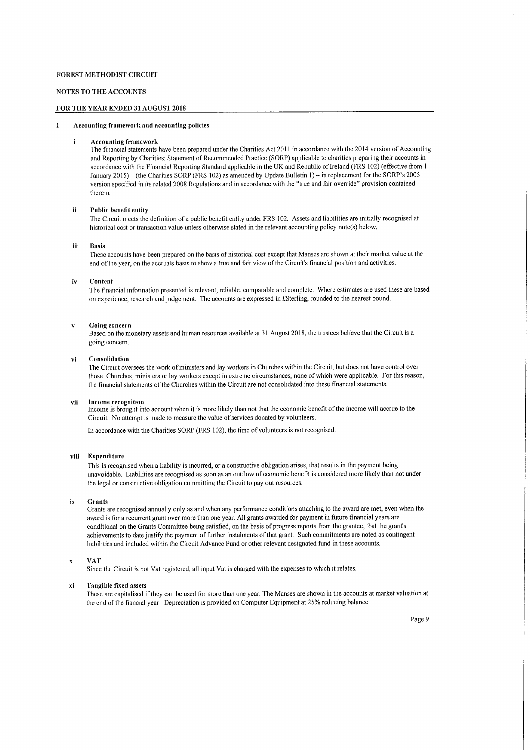#### NOTES TO THE ACCOUNTS

# FOR THE YEAR ENDED 31 AUGUST 2018

#### 1 Accounting framework and accounting policies

#### $\mathbf{I}$ Accounting framework

The financial statements have been prepared under the Charities Act 2011 in accordance with the 2014 version of Accounting and Reporting by Charities: Statement of Recommended Practice (SORP) applicable to charities preparing their accounts in accordance with the Financial Reporting Standard applicable in the UK and Republic of Ireland (FRS 102) (effective from 1 January 2015)—(the Charities SORP (FRS 102) as amended by Update Bulletin 1)—in replacement for the SORP's 2005 version specified in its related 2008 Regulations and in accordance with the "true and fair override" provision contained therein,

### ii Public benefit entity

The Circuit meets the definition of a public benefit entity under FRS 102. Assets and liabilities are initially recognised at historical cost or transaction value unless otherwise stated in the relevant accounting policy note(s) below,

#### ill Basis

These accounts have been prepared on the basis of historical cost except that Manses are shown at their market value at the end ofthe year, on the accruals basis to show a true and fair view ofthe Circuit's financial position and activities,

#### iv Content

The financial information presented is relevant, reliable, comparable and complete. Where estimates are used these are based on experience, research and judgement. The accounts are expressed in fSterling, rounded to the nearest pound.

#### v Going concern

Based on the monetary assets and human resources available at 31 August 2018, the trustees believe that the Circuit is a going concern,

#### vi Consolidation

The Circuit oversees the work of ministers and lay workers in Churches within the Circuit, but does not have control over those Churches, ministers or lay workers except in extreme circumstances, none of which were applicable. For this reason, the financial statements ofthe Churches within the Circuit are not consolidated into these financial statements.

#### vil Income recognition

Income is brought into account when it is more likely than not that the economic benefit ofthe income will accrue to the Circuit. No attempt is made to measure the value of services donated by volunteers.

In accordance with the Charities SORP (FRS 102), the time of volunteers is not recognised.

#### viii Expenditure

This is recognised when a liability is incurred, or a constructive obligation arises, that results in the payment being unavoidable. Liabilities are recognised as soon as an outflow of economic benefit is considered more likely than not under the legal or constructive obligation committing the Circuit to pay out resources.

#### ix Grants

Grants are recognised annually only as and when any performance conditions attaching to the award are met, even when the award is for a recurrent grant over more than one year. All grants awarded for payment in future financial years are conditional on the Grants Committee being satisfied, on the basis of progress reports from the grantee, that the grant's achievements to date justify the payment of further instalments of that grant. Such commitments are noted as contingent liabilities and included within the Circuit Advance Fund or other relevant designated fund in these accounts.

# x VAT

Since the Circuit is not Vat registered, all input Vat is charged with the expenses to which it relates.

#### xl Tangible fixed assets

These are capitalised ifthey can be used for more than one year. The Manses are shown in the accounts at market valuation at the end of the fiancial year. Depreciation is provided on Computer Equipment at 25% reducing balance.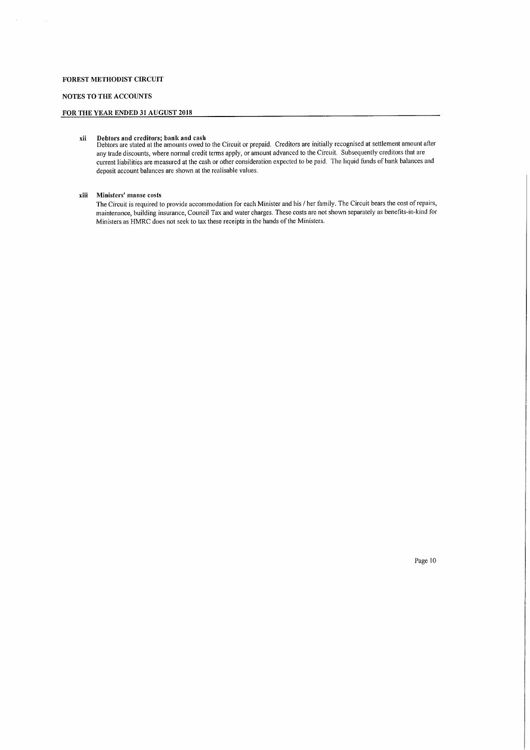# NOTES TO THE ACCOUNTS

# FOR THE YEAR ENDED 31 AUGUST 2018

xii Debtors and creditors; bank and cash Debtors are stated at the amounts owed to the Circuit or prepaid, Creditors are initially recognised at settlement amount after any trade discounts, where normal credit terms apply, or amount advanced to the Circuit. Subsequently creditors that are current liabilities are measured at the cash or other consideration expected to be paid. The liquid funds of bank balances and deposit account balances are shown at the realisable values,

#### xiii Ministers' manse costs

The Circuit is required to provide accommodation for each Minister and his / her family. The Circuit bears the cost ofrepairs, maintenance, building insurance, Council Tax and water charges. These costs are not shown separately as benefits-in-kind for Ministers as HMRC does not seek to tax these receipts in the hands of the Ministers.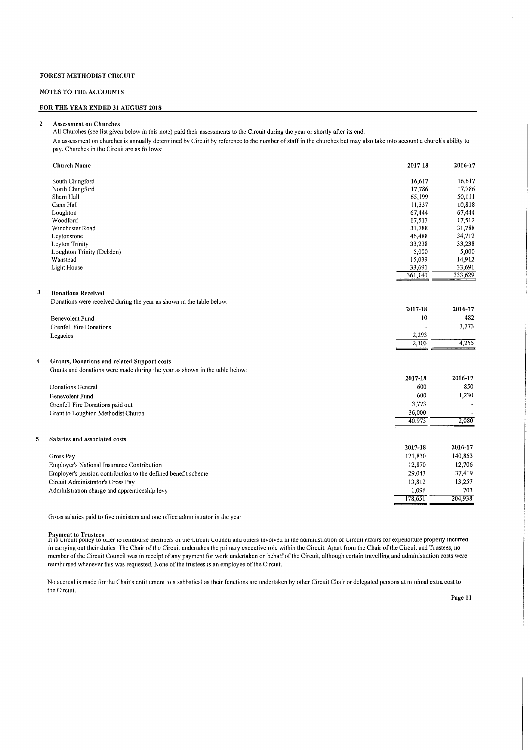# NOTES TO THE ACCOUNTS

# FOR THE YEAR ENDED 31 AUGUST 2018

2 Asscssmcnt on Churches

All Churches (see list given below in this note) paid their assessments to the Circuit during the year or shortly after its end. An assessment on churches is annually determined by Circuit by reference to the number ofstaff in the churches but may also take into account a church's ability to pay. Churches in the Circuit are as follows:

|                | <b>Church Name</b>                                                          | 2017-18 | 2016-17 |
|----------------|-----------------------------------------------------------------------------|---------|---------|
|                | South Chingford                                                             | 16,617  | 16,617  |
|                | North Chingford                                                             | 17,786  | 17,786  |
|                | Shern Hall                                                                  | 65,199  | 50,111  |
|                | Cann Hall                                                                   | 11,337  | 10,818  |
|                | Loughton                                                                    | 67,444  | 67,444  |
|                | Woodford                                                                    | 17,513  | 17,512  |
|                | Winchester Road                                                             | 31,788  | 31,788  |
|                | Leytonstone                                                                 | 46,488  | 34,712  |
|                | <b>Leyton Trinity</b>                                                       | 33,238  | 33,238  |
|                | Loughton Trinity (Debden)                                                   | 5,000   | 5,000   |
|                | Wanstead                                                                    | 15,039  | 14,912  |
|                | Light House                                                                 | 33,691  | 33,691  |
|                |                                                                             | 361,140 | 333,629 |
| 3              | <b>Donations Received</b>                                                   |         |         |
|                | Donations were received during the year as shown in the table below:        |         |         |
|                |                                                                             | 2017-18 | 2016-17 |
|                | Benevolent Fund                                                             | 10      | 482     |
|                | Grenfell Fire Donations                                                     |         | 3,773   |
|                | Legacies                                                                    | 2,293   |         |
|                |                                                                             | 2,303   | 4,255   |
| $\overline{4}$ | Grants, Donations and related Support costs                                 |         |         |
|                | Grants and donations were made during the year as shown in the table below: |         |         |
|                |                                                                             |         | 2016-17 |
|                |                                                                             | 2017-18 |         |
|                | Donations General                                                           | 600     | 850     |
|                | <b>Benevolent Fund</b>                                                      | 600     | 1,230   |
|                | Grenfell Fire Donations paid out                                            | 3,773   |         |
|                | Grant to Loughton Methodist Church                                          | 36,000  |         |
|                |                                                                             | 40,973  | 2,080   |
| 5              | Salaries and associated costs                                               |         |         |
|                |                                                                             | 2017-18 | 2016-17 |
|                | Gross Pay                                                                   | 121,830 | 140,853 |
|                | Employer's National Insurance Contribution                                  | 12,870  | 12,706  |
|                | Employer's pension contribution to the defined benefit scheme               | 29,043  | 37,419  |
|                | Circuit Administrator's Gross Pay                                           | 13,812  | 13,257  |
|                | Administration charge and apprenticeship levy                               | 1.096   | 703     |
|                |                                                                             | 178,651 | 204,938 |
|                |                                                                             |         |         |
|                |                                                                             |         |         |

Gross salaries paid to five ministers and one office administrator in the year.

Payment to Trustees<br>it is Urcuit poncy to offer to reimburse members of the Urcuit Council and others invoived in the aaministration of Urcuit atrairs for expenditure properly incurre in carrying out their duties. The Chair ofthe Circuit undertakes the primary executive role within the Circuit. Apart from the Chair ofthe Circuit and Trustees, no member of the Circuit Council was in receipt of any payment for work undertaken on behalf of the Circuit, although certain travelling and administration costs were reimbursed whenever this was requested. None of the trustees is an employee of the Circuit.

No accrual is made for the Chair's entitlement to a sabbatical as their functions are undertaken by other Circuit Chair or delegated persons at minimal extra cost to the Circuit.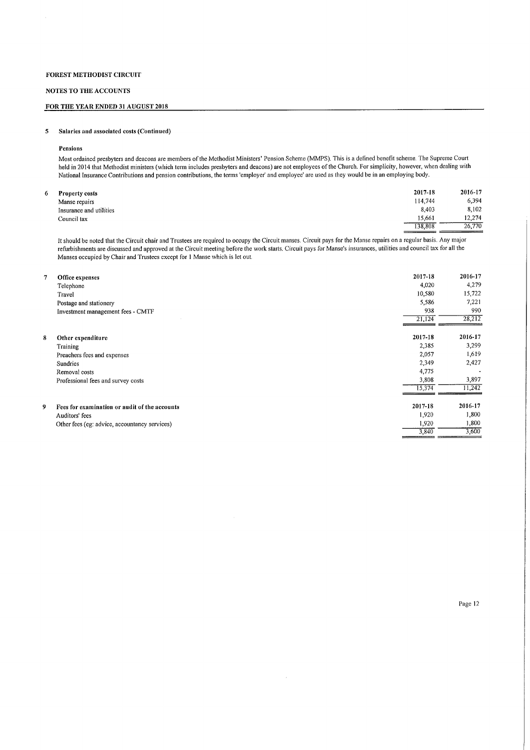# NOTES TO THE ACCOUNTS

# FOR THE YEAR ENDED 31 AUGUST 2018

# 5 Salaries and associated costs (Continued)

#### Pensions

Most ordained presbyters and deacons are members ofthe Methodist Ministers' Pension Scheme (MMPS). This is a defined benefit scheme. The Supreme Court held in 2014 that Methodist ministers (which term includes presbyters and deacons) are not employees of the Church. For simplicity, however, when dealing with National Insurance Contributions and pension contributions, the terms 'employer' and employee' are used as they tvould be in an employing body.

| <b>Property costs</b>   | 2017-18 | 2016-17 |
|-------------------------|---------|---------|
| Manse repairs           | 114,744 | 6.394   |
| Insurance and utilities | 8.403   | 8,102   |
| Council tax             | 15,661  | 12,274  |
|                         | 138,808 | 26,770  |

It should be noted that the Circuit chair and Trustees are required to occupy the Circuit manses. Circuit pays for the Manse repairs on a regular basis. Any major refurbishments are discussed and approved at the Circuit meeting before the work starts. Circuit pays for Manse's insurances, utilities and council tax for all the Manses occupied by Chair and Trustees except for 1 Manse which is let out.

| 7 | Office expenses<br>Telephone<br>Travel<br>Postage and stationery<br>Investment management fees - CMTF | 2017-18<br>4,020<br>10,580<br>5,586<br>938 | 2016-17<br>4,279<br>15,722<br>7,221<br>990 |
|---|-------------------------------------------------------------------------------------------------------|--------------------------------------------|--------------------------------------------|
|   |                                                                                                       | 21,124                                     | 28,212                                     |
| 8 | Other expenditure                                                                                     | 2017-18                                    | 2016-17                                    |
|   | Training                                                                                              | 2,385                                      | 3,299                                      |
|   | Preachers fees and expenses                                                                           | 2,057                                      | 1,619                                      |
|   | <b>Sundries</b>                                                                                       | 2,349                                      | 2,427                                      |
|   | Removal costs                                                                                         | 4,775                                      | $\overline{\phantom{a}}$                   |
|   | Professional fees and survey costs                                                                    | 3,808                                      | 3,897                                      |
|   |                                                                                                       | 15,374                                     | 11,242                                     |
|   | Fees for examination or audit of the accounts                                                         | 2017-18                                    | 2016-17                                    |
|   | Auditors' fees                                                                                        | 1,920                                      | 1,800                                      |
|   | Other fees (eg: advice, accountancy services)                                                         | 1,920                                      | 1,800                                      |
|   |                                                                                                       | 3,840                                      | 3,600                                      |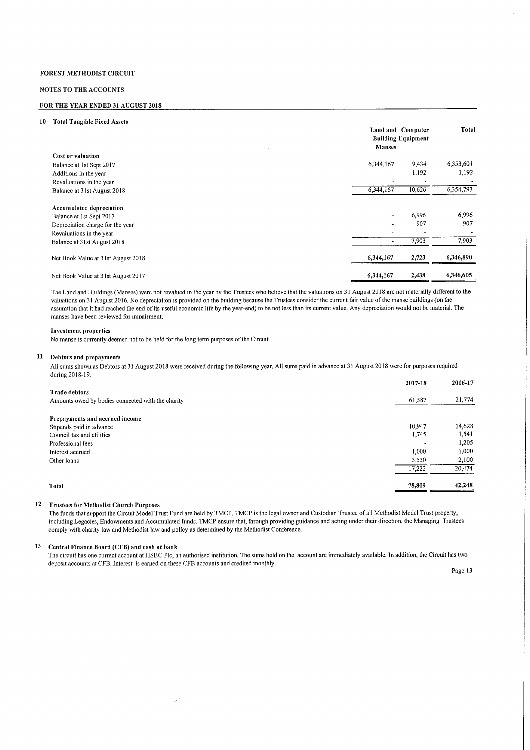#### NOTES TO THE ACCOUNTS

### FOR THE YEAR ENDED 31 AUGUST 2018

#### 10 Total Tangible Fixed Assets Land and Computer Building Equipment Manses Total Cost or valuation Balance at 1st Sept 2017 Additions in the year Revaluations in the year Balance at 31st August 2018 6,344, 167 9,434 1,192 6,353,601 1,192 6,344,167 10,626 6,354,793 Accumulated depreciation Balance at 1st Sept 2017 Depreciation charge for the year Revaluations in the year Balance at 31st August 2018 6,996 907 7,903 6,996 907 7,903 Net Book Value at 31st August 2018 6,344,167 6,344,167 6,344,167 6,346,890 Net Book Value at 31st August 2017 **6,344**,167 **6,344**,167 **6,344**,167 **6**,344,167 **6**,346,605

The Land and Buildings (Manses) were not revalued in the year by the Trustees who believe that the valuations on 31 August 2018 are not materially different to the valuations on 31 August 2016. No depreciation is provided on the building because the Trustees consider the current fair value ofthe manse buildings (on the assumtion that it had reached the end ofits useful economic life by the year-end) to be not less than its current value. Any depreciation would not be material, The manses have been reviewed for imnairment.

#### Investment properties

No manse is currently deemed not to be held for the long term purposes of the Circuit.

#### Debtors and prepayments

All sums shown as Debtors at 31 August 2018 were received during the following year. All sums paid in advance at 31 August 2018 were for purposes required during 2018-19.

|                                                   | 2017-18 | 2016-17 |
|---------------------------------------------------|---------|---------|
| <b>Trade debtors</b>                              |         |         |
| Amounts owed by bodies connected with the charity | 61,587  | 21,774  |
| Prepayments and accrued income                    |         |         |
| Stipends paid in advance                          | 10,947  | 14,628  |
| Council tax and utilities                         | 1,745   | 1,541   |
| Professional fees                                 |         | 1,205   |
| Interest accrued                                  | 1,000   | 1,000   |
| Other loans                                       | 3,530   | 2,100   |
|                                                   | 17,222  | 20,474  |
| <b>Total</b>                                      | 78,809  | 42,248  |

#### Trustees for Methodist Church Purposes

The funds that support the Circuit Model Trust Fund are held by TMCP. TMCP is the legal osvner and Custodian Trustee of all Methodist Model Trust property, including Legacies, Endowments and Accumulated funds. TMCP ensure that, through providing guidance and acting under their direction, the Managing Trustees comply with charity law and Methodist law and policy as determined by the Methodist Conference.

#### 13 Central Finance Board (CFB) and cash at bank

The circuit has one current account at HSBC Plc, an authorised institution. The sums held on the account are immediately available. In addition, the Circuit has two deposit accounts at CFB. Interest is earned on these CFB accounts and credited monthly.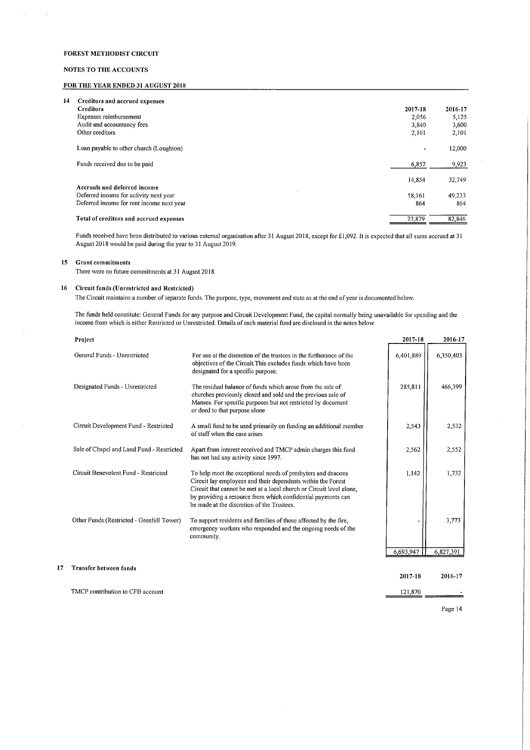### NOTES TO THE ACCOUNTS

 $\hat{\mathcal{F}}$ 

 $\bar{z}$ 

### FOR THE YEAR ENDED 31 AUGUST 2018

| 14<br>Creditors and accrued expenses      |                |         |
|-------------------------------------------|----------------|---------|
| <b>Creditors</b>                          | 2017-18        | 2016-17 |
| Expenses reimbursement                    | 2,056          | 5,125   |
| Audit and accountancy fees                | 3,840          | 3,600   |
| Other creditors                           | 2,101          | 2,101   |
| Loan payable to other church (Loughton)   | $\blacksquare$ | 12,000  |
| Funds received due to be paid             | 6,857          | 9,923   |
|                                           | 14,854         | 32,749  |
| Accruals and deferred income              |                |         |
| Deferred income for activity next year    | 58.161         | 49,233  |
| Deferred income for rent income next year | 864            | 864     |
| Total of creditors and accrued expenses   | 73,879         | 82,846  |

Funds received have been distributed to various external organisation after 31 August 2018, except for £1,092. It is expected that all sums accrued at 31 August 2018 would be paid during the year to 31 August 2019,

# 15 Grant commitments

There were no future commitments at 31 August 2018.

# 16 Circuit funds (Unrestricted and Restricted)

The Circuit maintains a number of separate funds. The purpose, type, movement and state as at the end of year is documented below.

The funds held constitute; General Funds for any purpose and Circuit Development Fund, the capital normally being unavailable for spending and the income from which is either Restricted or Unrestricted. Details of each material fund are disclosed in the notes below.

|    | Project                                   |                                                                                                                                                                                                                                                                                                                    | 2017-18   | 2016-17   |
|----|-------------------------------------------|--------------------------------------------------------------------------------------------------------------------------------------------------------------------------------------------------------------------------------------------------------------------------------------------------------------------|-----------|-----------|
|    | General Funds - Unrestricted              | For use at the discretion of the trustees in the furtherance of the<br>objectives of the Circuit. This excludes funds which have been<br>designated for a specific purpose.                                                                                                                                        | 6,401,889 | 6,350,403 |
|    | Designated Funds - Unrestricted           | The residual balance of funds which arose from the sale of<br>churches previously closed and sold and the previous sale of<br>Manses. For specific purposes but not restricted by document<br>or deed to that purpose alone                                                                                        | 285,811   | 466,399   |
|    | Circuit Development Fund - Restricted     | A small fund to be used primarily on funding an additional member<br>of staff when the case arises                                                                                                                                                                                                                 | 2,543     | 2,532     |
|    | Sale of Chapel and Land Fund - Restricted | Apart from interest received and TMCP admin charges this fund<br>has not had any activity since 1997.                                                                                                                                                                                                              | 2,562     | 2,552     |
|    | Circuit Benevolent Fund - Restricted      | To help meet the exceptional needs of presbyters and deacons<br>Circuit lay employees and their dependents within the Forest<br>Circuit that cannot be met at a local church or Circuit level alone.<br>by providing a resource from which confidential payments can<br>be made at the discretion of the Trustees. | 1,142     | 1,732     |
|    | Other Funds (Restricted - Grenfell Tower) | To support residents and families of those affected by the fire,<br>emergency workers who responded and the ongoing needs of the<br>community.                                                                                                                                                                     |           | 3,773     |
|    |                                           |                                                                                                                                                                                                                                                                                                                    | 6,693,947 | 6,827,391 |
| 17 | <b>Transfer between funds</b>             |                                                                                                                                                                                                                                                                                                                    | 2017-18   | 2016-17   |
|    | TMCP contribution to CFB account          |                                                                                                                                                                                                                                                                                                                    | 121,870   |           |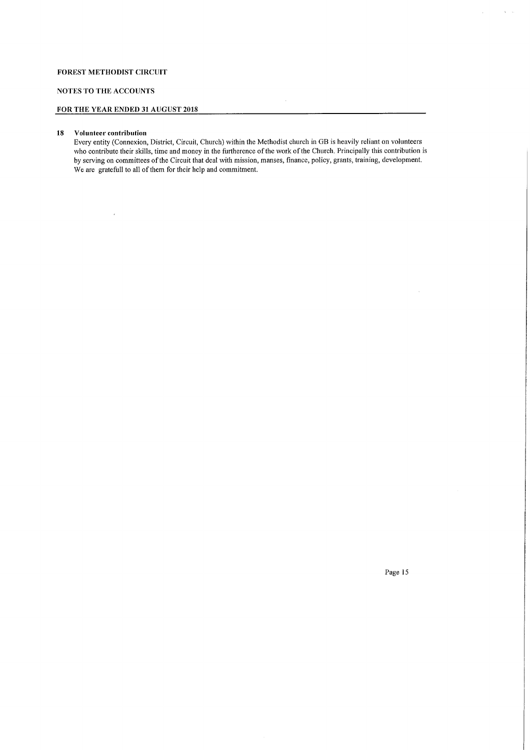# NOTES TO THE ACCOUNTS

# FOR THE YEAR ENDED 31 AUGUST 2018

### 18 Volunteer contribution

 $\mathcal{A}$ 

Every entity (Connexion, District, Circuit, Church) within the Methodist church in GB is heavily reliant on volunteers who contribute their skills, time and money in the furtherence of the work of the Church. Principally this contribution is by serving on committees ofthe Circuit that deal with mission, manses, finance, policy, grants, training, development, We are gratefull to all of them for their help and commitment.

 $\hat{\boldsymbol{\beta}}$ 

Page 15

 $\hat{\mathbf{y}}$  ,  $\hat{\mathbf{y}}$ 

 $\Delta \sim 1$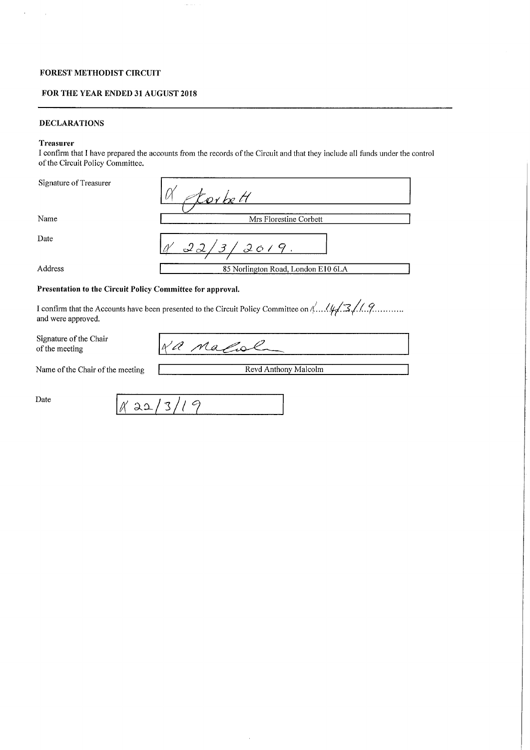# FOR THE YEAR ENDED 31 AUGUST 2018

# DECLARATIONS

# Treasurer

I confirm that I have prepared the accounts from the records of the Circuit and that they include all funds under the control of the Circuit Policy Committee.

| Signature of Treasurer | torbett                            |
|------------------------|------------------------------------|
| Name                   | Mrs Florestine Corbett             |
| Date                   | 3/2019<br>22/                      |
| Address                | 85 Norlington Road, London E10 6LA |

# Presentation to the Circuit Policy Committee for approval.

I confirm that the Accounts have been presented to the Circuit Policy Committee on  $\frac{1}{4}$ ,  $\frac{1}{4}$ ,  $\frac{2}{4}$ ,  $\frac{2}{4}$ ,  $\frac{2}{4}$ and were approved.

Signature of the Chair of the meeting

a nafol

Name of the Chair of the meeting Revd Anthony Malcolm

Date

 $'$  22,  $13/19$